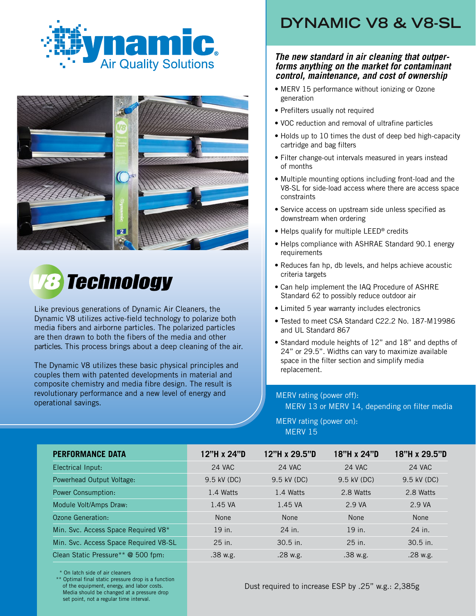





Like previous generations of Dynamic Air Cleaners, the Dynamic V8 utilizes active-field technology to polarize both media fibers and airborne particles. The polarized particles are then drawn to both the fibers of the media and other particles. This process brings about a deep cleaning of the air.

The Dynamic V8 utilizes these basic physical principles and couples them with patented developments in material and composite chemistry and media fibre design. The result is revolutionary performance and a new level of energy and operational savings.

## **DYNAMIC V8 & V8-SL**

## *The new standard in air cleaning that outper- forms anything on the market for contaminant control, maintenance, and cost of ownership*

- MERV 15 performance without ionizing or Ozone generation
- Prefilters usually not required
- VOC reduction and removal of ultrafine particles
- Holds up to 10 times the dust of deep bed high-capacity cartridge and bag filters
- Filter change-out intervals measured in years instead of months
- Multiple mounting options including front-load and the V8-SL for side-load access where there are access space constraints
- Service access on upstream side unless specified as downstream when ordering
- Helps qualify for multiple LEED® credits
- Helps compliance with ASHRAE Standard 90.1 energy requirements
- Reduces fan hp, db levels, and helps achieve acoustic criteria targets
- Can help implement the IAQ Procedure of ASHRE Standard 62 to possibly reduce outdoor air
- Limited 5 year warranty includes electronics
- Tested to meet CSA Standard C22.2 No. 187-M19986 and UL Standard 867
- Standard module heights of 12" and 18" and depths of 24" or 29.5". Widths can vary to maximize available space in the filter section and simplify media replacement.

## MERV rating (power off):

MERV 13 or MERV 14, depending on filter media

MERV rating (power on): MERV 15

| <b>PERFORMANCE DATA</b>               | 12"H x 24"D | 12"H x 29.5"D | 18"H x 24"D   | 18"H x 29.5"D |
|---------------------------------------|-------------|---------------|---------------|---------------|
| Electrical Input:                     | 24 VAC      | <b>24 VAC</b> | <b>24 VAC</b> | <b>24 VAC</b> |
| Powerhead Output Voltage:             | 9.5 kV (DC) | 9.5 kV (DC)   | 9.5 kV (DC)   | 9.5 kV (DC)   |
| Power Consumption:                    | 1.4 Watts   | 1.4 Watts     | 2.8 Watts     | 2.8 Watts     |
| Module Volt/Amps Draw:                | 1.45 VA     | 1.45 VA       | 2.9 VA        | 2.9 VA        |
| Ozone Generation:                     | <b>None</b> | <b>None</b>   | <b>None</b>   | <b>None</b>   |
| Min. Svc. Access Space Required V8*   | 19 in.      | 24 in.        | 19 in.        | 24 in.        |
| Min. Svc. Access Space Required V8-SL | 25 in.      | $30.5$ in.    | 25 in.        | $30.5$ in.    |
| Clean Static Pressure** @ 500 fpm:    | .38 w.g.    | .28 w.g.      | .38 w.g.      | $.28$ w.g.    |

\* On latch side of air cleaners

 \*\* Optimal final static pressure drop is a function of the equipment, energy, and labor costs. Media should be changed at a pressure drop set point, not a regular time interval.